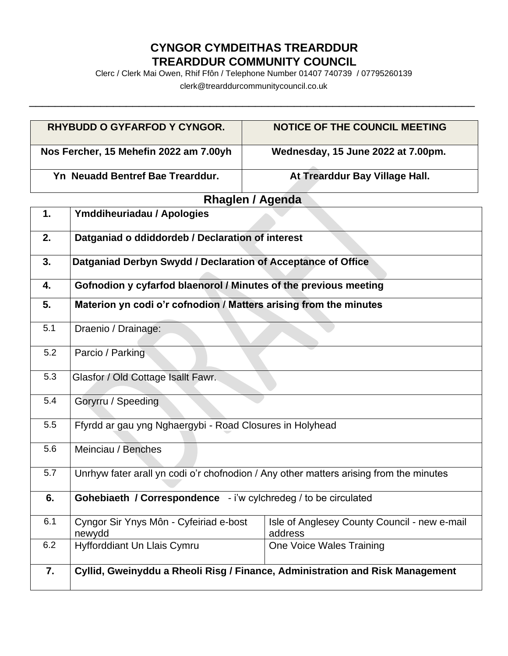## **CYNGOR CYMDEITHAS TREARDDUR TREARDDUR COMMUNITY COUNCIL**

Clerc / Clerk Mai Owen, Rhif Ffôn / Telephone Number 01407 740739 / 07795260139

clerk@trearddurcommunitycouncil.co.uk \_\_\_\_\_\_\_\_\_\_\_\_\_\_\_\_\_\_\_\_\_\_\_\_\_\_\_\_\_\_\_\_\_\_\_\_\_\_\_\_\_\_\_\_\_\_\_\_\_\_\_\_\_\_\_\_\_\_\_\_\_\_\_\_\_\_\_\_\_

| <b>RHYBUDD O GYFARFOD Y CYNGOR.</b>    | NOTICE OF THE COUNCIL MEETING      |
|----------------------------------------|------------------------------------|
| Nos Fercher, 15 Mehefin 2022 am 7.00yh | Wednesday, 15 June 2022 at 7.00pm. |
| Yn Neuadd Bentref Bae Trearddur.       | At Trearddur Bay Village Hall.     |

## **Rhaglen / Agenda**

| 1.  | Ymddiheuriadau / Apologies                                                             |                                                                               |
|-----|----------------------------------------------------------------------------------------|-------------------------------------------------------------------------------|
| 2.  | Datganiad o ddiddordeb / Declaration of interest                                       |                                                                               |
| 3.  | Datganiad Derbyn Swydd / Declaration of Acceptance of Office                           |                                                                               |
| 4.  | Gofnodion y cyfarfod blaenorol / Minutes of the previous meeting                       |                                                                               |
| 5.  | Materion yn codi o'r cofnodion / Matters arising from the minutes                      |                                                                               |
| 5.1 | Draenio / Drainage:                                                                    |                                                                               |
| 5.2 | Parcio / Parking                                                                       |                                                                               |
| 5.3 | Glasfor / Old Cottage Isallt Fawr.                                                     |                                                                               |
| 5.4 | Goryrru / Speeding                                                                     |                                                                               |
| 5.5 | Ffyrdd ar gau yng Nghaergybi - Road Closures in Holyhead                               |                                                                               |
| 5.6 | Meinciau / Benches                                                                     |                                                                               |
| 5.7 | Unrhyw fater arall yn codi o'r chofnodion / Any other matters arising from the minutes |                                                                               |
| 6.  | Gohebiaeth / Correspondence - i'w cylchredeg / to be circulated                        |                                                                               |
| 6.1 | Cyngor Sir Ynys Môn - Cyfeiriad e-bost<br>newydd                                       | Isle of Anglesey County Council - new e-mail<br>address                       |
| 6.2 | Hyfforddiant Un Llais Cymru                                                            | One Voice Wales Training                                                      |
| 7.  |                                                                                        | Cyllid, Gweinyddu a Rheoli Risg / Finance, Administration and Risk Management |